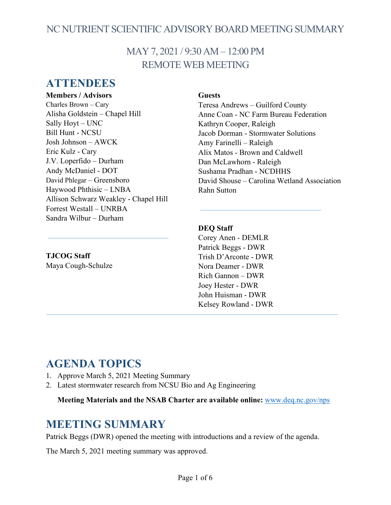## NC NUTRIENT SCIENTIFIC ADVISORY BOARD MEETING SUMMARY

## MAY 7, 2021 / 9:30 AM – 12:00 PM REMOTE WEB MEETING

### **ATTENDEES**

#### **Members / Advisors**

Charles Brown – Cary Alisha Goldstein – Chapel Hill Sally Hoyt – UNC Bill Hunt - NCSU Josh Johnson – AWCK Eric Kulz - Cary J.V. Loperfido – Durham Andy McDaniel - DOT David Phlegar – Greensboro Haywood Phthisic – LNBA Allison Schwarz Weakley - Chapel Hill Forrest Westall – UNRBA Sandra Wilbur – Durham

### **Guests**

Teresa Andrews – Guilford County Anne Coan - NC Farm Bureau Federation Kathryn Cooper, Raleigh Jacob Dorman - Stormwater Solutions Amy Farinelli – Raleigh Alix Matos - Brown and Caldwell Dan McLawhorn - Raleigh Sushama Pradhan - NCDHHS David Shouse – Carolina Wetland Association Rahn Sutton

#### **DEQ Staff**

Corey Anen - DEMLR Patrick Beggs - DWR Trish D'Arconte - DWR Nora Deamer - DWR Rich Gannon – DWR Joey Hester - DWR John Huisman - DWR Kelsey Rowland - DWR

# **TJCOG Staff**

Maya Cough-Schulze

## **AGENDA TOPICS**

- 1. Approve March 5, 2021 Meeting Summary
- 2. Latest stormwater research from NCSU Bio and Ag Engineering

**Meeting Materials and the NSAB Charter are available online:** [www.deq.nc.gov/nps](https://deq.nc.gov/about/divisions/water-resources/planning/nonpoint-source-management/nutrient-scientific-advisory-board)

## **MEETING SUMMARY**

Patrick Beggs (DWR) opened the meeting with introductions and a review of the agenda.

The March 5, 2021 meeting summary was approved.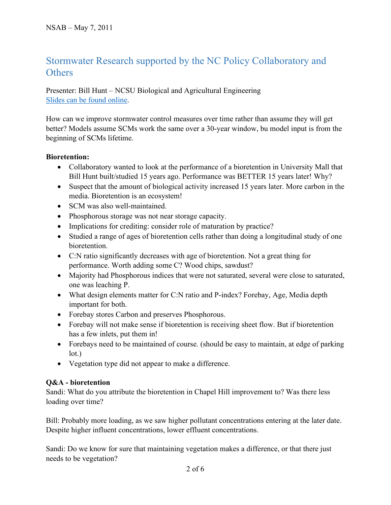## Stormwater Research supported by the NC Policy Collaboratory and **Others**

Presenter: Bill Hunt – NCSU Biological and Agricultural Engineering [Slides can be found online.](https://deq.nc.gov/about/divisions/water-resources/planning/nonpoint-source-management/nutrient-scientific-advisory-board#nsab-meeting-documents)

How can we improve stormwater control measures over time rather than assume they will get better? Models assume SCMs work the same over a 30-year window, bu model input is from the beginning of SCMs lifetime.

#### **Bioretention:**

- Collaboratory wanted to look at the performance of a bioretention in University Mall that Bill Hunt built/studied 15 years ago. Performance was BETTER 15 years later! Why?
- Suspect that the amount of biological activity increased 15 years later. More carbon in the media. Bioretention is an ecosystem!
- SCM was also well-maintained.
- Phosphorous storage was not near storage capacity.
- Implications for crediting: consider role of maturation by practice?
- Studied a range of ages of bioretention cells rather than doing a longitudinal study of one bioretention.
- C:N ratio significantly decreases with age of bioretention. Not a great thing for performance. Worth adding some C? Wood chips, sawdust?
- Majority had Phosphorous indices that were not saturated, several were close to saturated, one was leaching P.
- What design elements matter for C:N ratio and P-index? Forebay, Age, Media depth important for both.
- Forebay stores Carbon and preserves Phosphorous.
- Forebay will not make sense if bioretention is receiving sheet flow. But if bioretention has a few inlets, put them in!
- Forebays need to be maintained of course. (should be easy to maintain, at edge of parking lot.)
- Vegetation type did not appear to make a difference.

#### **Q&A - bioretention**

Sandi: What do you attribute the bioretention in Chapel Hill improvement to? Was there less loading over time?

Bill: Probably more loading, as we saw higher pollutant concentrations entering at the later date. Despite higher influent concentrations, lower effluent concentrations.

Sandi: Do we know for sure that maintaining vegetation makes a difference, or that there just needs to be vegetation?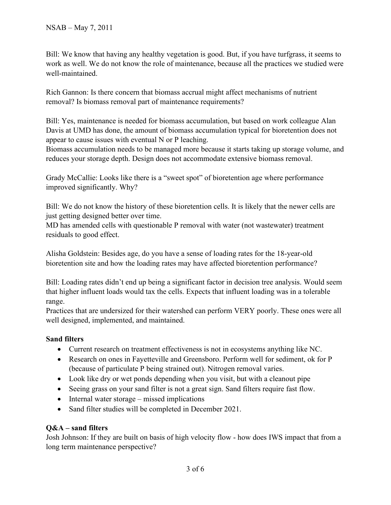Bill: We know that having any healthy vegetation is good. But, if you have turfgrass, it seems to work as well. We do not know the role of maintenance, because all the practices we studied were well-maintained.

Rich Gannon: Is there concern that biomass accrual might affect mechanisms of nutrient removal? Is biomass removal part of maintenance requirements?

Bill: Yes, maintenance is needed for biomass accumulation, but based on work colleague Alan Davis at UMD has done, the amount of biomass accumulation typical for bioretention does not appear to cause issues with eventual N or P leaching.

Biomass accumulation needs to be managed more because it starts taking up storage volume, and reduces your storage depth. Design does not accommodate extensive biomass removal.

Grady McCallie: Looks like there is a "sweet spot" of bioretention age where performance improved significantly. Why?

Bill: We do not know the history of these bioretention cells. It is likely that the newer cells are just getting designed better over time.

MD has amended cells with questionable P removal with water (not wastewater) treatment residuals to good effect.

Alisha Goldstein: Besides age, do you have a sense of loading rates for the 18-year-old bioretention site and how the loading rates may have affected bioretention performance?

Bill: Loading rates didn't end up being a significant factor in decision tree analysis. Would seem that higher influent loads would tax the cells. Expects that influent loading was in a tolerable range.

Practices that are undersized for their watershed can perform VERY poorly. These ones were all well designed, implemented, and maintained.

#### **Sand filters**

- Current research on treatment effectiveness is not in ecosystems anything like NC.
- Research on ones in Fayetteville and Greensboro. Perform well for sediment, ok for P (because of particulate P being strained out). Nitrogen removal varies.
- Look like dry or wet ponds depending when you visit, but with a cleanout pipe
- Seeing grass on your sand filter is not a great sign. Sand filters require fast flow.
- Internal water storage missed implications
- Sand filter studies will be completed in December 2021.

#### **Q&A – sand filters**

Josh Johnson: If they are built on basis of high velocity flow - how does IWS impact that from a long term maintenance perspective?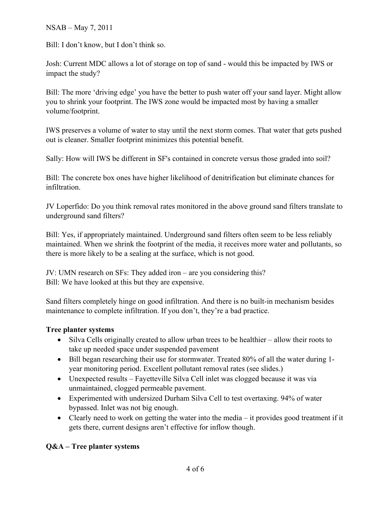NSAB – May 7, 2011

Bill: I don't know, but I don't think so.

Josh: Current MDC allows a lot of storage on top of sand - would this be impacted by IWS or impact the study?

Bill: The more 'driving edge' you have the better to push water off your sand layer. Might allow you to shrink your footprint. The IWS zone would be impacted most by having a smaller volume/footprint.

IWS preserves a volume of water to stay until the next storm comes. That water that gets pushed out is cleaner. Smaller footprint minimizes this potential benefit.

Sally: How will IWS be different in SF's contained in concrete versus those graded into soil?

Bill: The concrete box ones have higher likelihood of denitrification but eliminate chances for infiltration.

JV Loperfido: Do you think removal rates monitored in the above ground sand filters translate to underground sand filters?

Bill: Yes, if appropriately maintained. Underground sand filters often seem to be less reliably maintained. When we shrink the footprint of the media, it receives more water and pollutants, so there is more likely to be a sealing at the surface, which is not good.

JV: UMN research on SFs: They added iron – are you considering this? Bill: We have looked at this but they are expensive.

Sand filters completely hinge on good infiltration. And there is no built-in mechanism besides maintenance to complete infiltration. If you don't, they're a bad practice.

#### **Tree planter systems**

- Silva Cells originally created to allow urban trees to be healthier allow their roots to take up needed space under suspended pavement
- Bill began researching their use for stormwater. Treated 80% of all the water during 1 year monitoring period. Excellent pollutant removal rates (see slides.)
- Unexpected results Fayetteville Silva Cell inlet was clogged because it was via unmaintained, clogged permeable pavement.
- Experimented with undersized Durham Silva Cell to test overtaxing. 94% of water bypassed. Inlet was not big enough.
- Clearly need to work on getting the water into the media  $-$  it provides good treatment if it gets there, current designs aren't effective for inflow though.

#### **Q&A – Tree planter systems**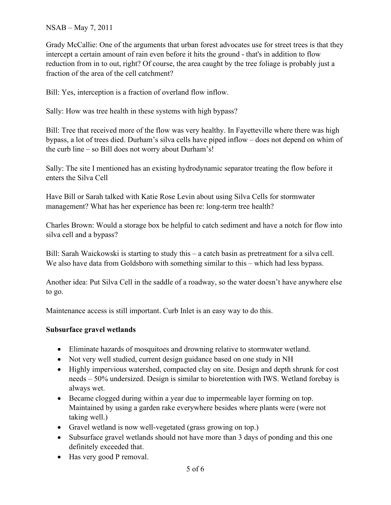#### NSAB – May 7, 2011

Grady McCallie: One of the arguments that urban forest advocates use for street trees is that they intercept a certain amount of rain even before it hits the ground - that's in addition to flow reduction from in to out, right? Of course, the area caught by the tree foliage is probably just a fraction of the area of the cell catchment?

Bill: Yes, interception is a fraction of overland flow inflow.

Sally: How was tree health in these systems with high bypass?

Bill: Tree that received more of the flow was very healthy. In Fayetteville where there was high bypass, a lot of trees died. Durham's silva cells have piped inflow – does not depend on whim of the curb line – so Bill does not worry about Durham's!

Sally: The site I mentioned has an existing hydrodynamic separator treating the flow before it enters the Silva Cell

Have Bill or Sarah talked with Katie Rose Levin about using Silva Cells for stormwater management? What has her experience has been re: long-term tree health?

Charles Brown: Would a storage box be helpful to catch sediment and have a notch for flow into silva cell and a bypass?

Bill: Sarah Waickowski is starting to study this – a catch basin as pretreatment for a silva cell. We also have data from Goldsboro with something similar to this – which had less bypass.

Another idea: Put Silva Cell in the saddle of a roadway, so the water doesn't have anywhere else to go.

Maintenance access is still important. Curb Inlet is an easy way to do this.

#### **Subsurface gravel wetlands**

- Eliminate hazards of mosquitoes and drowning relative to stormwater wetland.
- Not very well studied, current design guidance based on one study in NH
- Highly impervious watershed, compacted clay on site. Design and depth shrunk for cost needs – 50% undersized. Design is similar to bioretention with IWS. Wetland forebay is always wet.
- Became clogged during within a year due to impermeable layer forming on top. Maintained by using a garden rake everywhere besides where plants were (were not taking well.)
- Gravel wetland is now well-vegetated (grass growing on top.)
- Subsurface gravel wetlands should not have more than 3 days of ponding and this one definitely exceeded that.
- Has very good P removal.